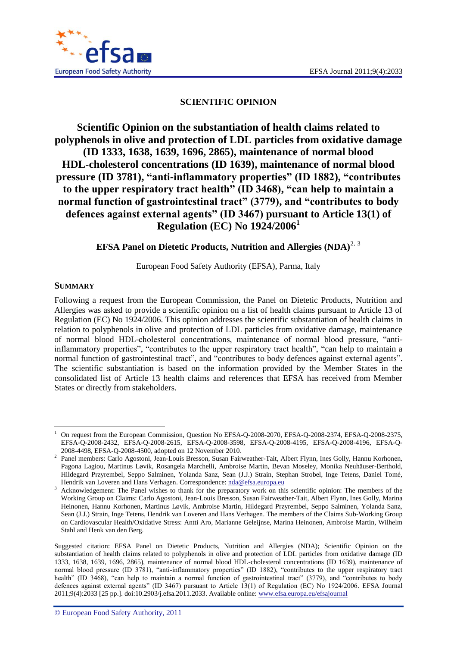

# **SCIENTIFIC OPINION**

**Scientific Opinion on the substantiation of health claims related to polyphenols in olive and protection of LDL particles from oxidative damage (ID 1333, 1638, 1639, 1696, 2865), maintenance of normal blood HDL-cholesterol concentrations (ID 1639), maintenance of normal blood pressure (ID 3781), "anti-inflammatory properties" (ID 1882), "contributes to the upper respiratory tract health" (ID 3468), "can help to maintain a normal function of gastrointestinal tract" (3779), and "contributes to body defences against external agents" (ID 3467) pursuant to Article 13(1) of Regulation (EC) No 1924/2006<sup>1</sup>**

**EFSA Panel on Dietetic Products, Nutrition and Allergies (NDA)**2, <sup>3</sup>

European Food Safety Authority (EFSA), Parma, Italy

#### <span id="page-0-0"></span>**SUMMARY**

Following a request from the European Commission, the Panel on Dietetic Products, Nutrition and Allergies was asked to provide a scientific opinion on a list of health claims pursuant to Article 13 of Regulation (EC) No 1924/2006. This opinion addresses the scientific substantiation of health claims in relation to polyphenols in olive and protection of LDL particles from oxidative damage, maintenance of normal blood HDL-cholesterol concentrations, maintenance of normal blood pressure, "antiinflammatory properties", "contributes to the upper respiratory tract health", "can help to maintain a normal function of gastrointestinal tract", and "contributes to body defences against external agents". The scientific substantiation is based on the information provided by the Member States in the consolidated list of Article 13 health claims and references that EFSA has received from Member States or directly from stakeholders.

l <sup>1</sup> On request from the European Commission, Question No EFSA-Q-2008-2070, EFSA-Q-2008-2374, EFSA-Q-2008-2375, EFSA-Q-2008-2432, EFSA-Q-2008-2615, EFSA-Q-2008-3598, EFSA-Q-2008-4195, EFSA-Q-2008-4196, EFSA-Q-2008-4498, EFSA-Q-2008-4500, adopted on 12 November 2010.

<sup>2</sup> Panel members: Carlo Agostoni, Jean-Louis Bresson, Susan Fairweather-Tait, Albert Flynn, Ines Golly, Hannu Korhonen, Pagona Lagiou, Martinus Løvik, Rosangela Marchelli, Ambroise Martin, Bevan Moseley, Monika Neuhäuser-Berthold, Hildegard Przyrembel, Seppo Salminen, Yolanda Sanz, Sean (J.J.) Strain, Stephan Strobel, Inge Tetens, Daniel Tomé, Hendrik van Loveren and Hans Verhagen. Correspondence[: nda@efsa.europa.eu](mailto:nda@efsa.europa.eu)

<sup>&</sup>lt;sup>3</sup> Acknowledgement: The Panel wishes to thank for the preparatory work on this scientific opinion: The members of the Working Group on Claims: Carlo Agostoni, Jean-Louis Bresson, Susan Fairweather-Tait, Albert Flynn, Ines Golly, Marina Heinonen, Hannu Korhonen, Martinus Løvik, Ambroise Martin, Hildegard Przyrembel, Seppo Salminen, Yolanda Sanz, Sean (J.J.) Strain, Inge Tetens, Hendrik van Loveren and Hans Verhagen. The members of the Claims Sub-Working Group on Cardiovascular Health/Oxidative Stress: Antti Aro, Marianne Geleijnse, Marina Heinonen, Ambroise Martin, Wilhelm Stahl and Henk van den Berg.

Suggested citation: EFSA Panel on Dietetic Products, Nutrition and Allergies (NDA); Scientific Opinion on the substantiation of health claims related to polyphenols in olive and protection of LDL particles from oxidative damage (ID 1333, 1638, 1639, 1696, 2865), maintenance of normal blood HDL-cholesterol concentrations (ID 1639), maintenance of normal blood pressure (ID 3781), "anti-inflammatory properties" (ID 1882), "contributes to the upper respiratory tract health" (ID 3468), "can help to maintain a normal function of gastrointestinal tract" (3779), and "contributes to body defences against external agents" (ID 3467) pursuant to Article 13(1) of Regulation (EC) No 1924/2006. EFSA Journal 2011;9(4):2033 [25 pp.]. doi:10.2903/j.efsa.2011.2033. Available online: www.efsa.europa.eu/efsajournal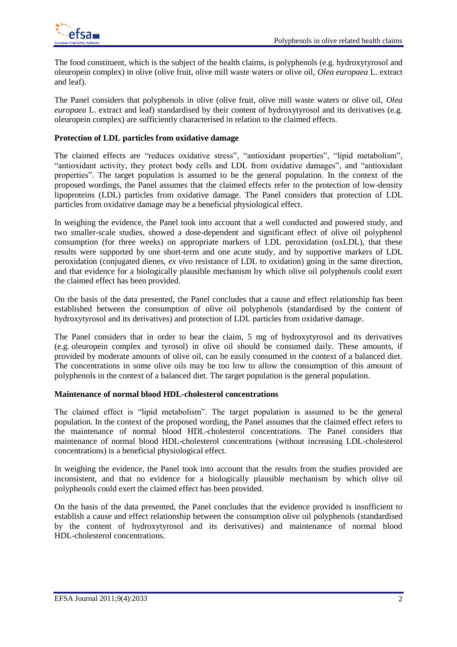

The food constituent, which is the subject of the health claims, is polyphenols (e.g. hydroxytyrosol and oleuropein complex) in olive (olive fruit, olive mill waste waters or olive oil, *Olea europaea* L. extract and leaf).

The Panel considers that polyphenols in olive (olive fruit, olive mill waste waters or olive oil, *Olea europaea* L. extract and leaf) standardised by their content of hydroxytyrosol and its derivatives (e.g. oleuropein complex) are sufficiently characterised in relation to the claimed effects.

#### **Protection of LDL particles from oxidative damage**

The claimed effects are "reduces oxidative stress", "antioxidant properties", "lipid metabolism", "antioxidant activity, they protect body cells and LDL from oxidative damages", and "antioxidant properties". The target population is assumed to be the general population. In the context of the proposed wordings, the Panel assumes that the claimed effects refer to the protection of low-density lipoproteins (LDL) particles from oxidative damage. The Panel considers that protection of LDL particles from oxidative damage may be a beneficial physiological effect.

In weighing the evidence, the Panel took into account that a well conducted and powered study, and two smaller-scale studies, showed a dose-dependent and significant effect of olive oil polyphenol consumption (for three weeks) on appropriate markers of LDL peroxidation (oxLDL), that these results were supported by one short-term and one acute study, and by supportive markers of LDL peroxidation (conjugated dienes, *ex vivo* resistance of LDL to oxidation) going in the same direction, and that evidence for a biologically plausible mechanism by which olive oil polyphenols could exert the claimed effect has been provided.

On the basis of the data presented, the Panel concludes that a cause and effect relationship has been established between the consumption of olive oil polyphenols (standardised by the content of hydroxytyrosol and its derivatives) and protection of LDL particles from oxidative damage.

The Panel considers that in order to bear the claim, 5 mg of hydroxytyrosol and its derivatives (e.g. oleuropein complex and tyrosol) in olive oil should be consumed daily. These amounts, if provided by moderate amounts of olive oil, can be easily consumed in the context of a balanced diet. The concentrations in some olive oils may be too low to allow the consumption of this amount of polyphenols in the context of a balanced diet. The target population is the general population.

#### **Maintenance of normal blood HDL-cholesterol concentrations**

The claimed effect is "lipid metabolism". The target population is assumed to be the general population. In the context of the proposed wording, the Panel assumes that the claimed effect refers to the maintenance of normal blood HDL-cholesterol concentrations. The Panel considers that maintenance of normal blood HDL-cholesterol concentrations (without increasing LDL-cholesterol concentrations) is a beneficial physiological effect.

In weighing the evidence, the Panel took into account that the results from the studies provided are inconsistent, and that no evidence for a biologically plausible mechanism by which olive oil polyphenols could exert the claimed effect has been provided.

On the basis of the data presented, the Panel concludes that the evidence provided is insufficient to establish a cause and effect relationship between the consumption olive oil polyphenols (standardised by the content of hydroxytyrosol and its derivatives) and maintenance of normal blood HDL-cholesterol concentrations.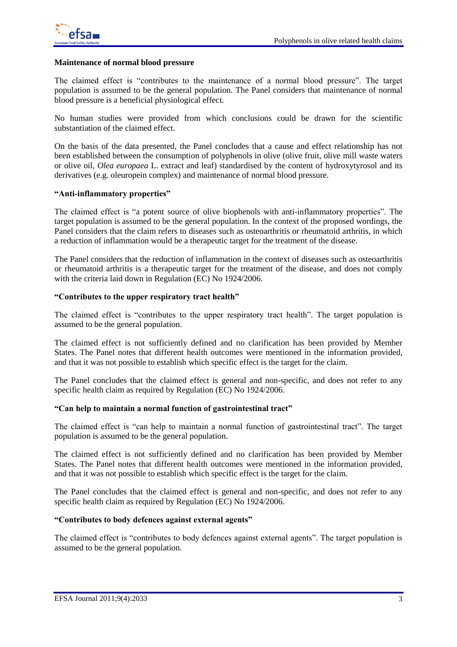

#### **Maintenance of normal blood pressure**

The claimed effect is "contributes to the maintenance of a normal blood pressure". The target population is assumed to be the general population. The Panel considers that maintenance of normal blood pressure is a beneficial physiological effect.

No human studies were provided from which conclusions could be drawn for the scientific substantiation of the claimed effect.

On the basis of the data presented, the Panel concludes that a cause and effect relationship has not been established between the consumption of polyphenols in olive (olive fruit, olive mill waste waters or olive oil, *Olea europaea* L. extract and leaf) standardised by the content of hydroxytyrosol and its derivatives (e.g. oleuropein complex) and maintenance of normal blood pressure.

#### **"Anti-inflammatory properties"**

The claimed effect is "a potent source of olive biophenols with anti-inflammatory properties". The target population is assumed to be the general population. In the context of the proposed wordings, the Panel considers that the claim refers to diseases such as osteoarthritis or rheumatoid arthritis, in which a reduction of inflammation would be a therapeutic target for the treatment of the disease.

The Panel considers that the reduction of inflammation in the context of diseases such as osteoarthritis or rheumatoid arthritis is a therapeutic target for the treatment of the disease, and does not comply with the criteria laid down in Regulation (EC) No 1924/2006.

#### **"Contributes to the upper respiratory tract health"**

The claimed effect is "contributes to the upper respiratory tract health". The target population is assumed to be the general population.

The claimed effect is not sufficiently defined and no clarification has been provided by Member States. The Panel notes that different health outcomes were mentioned in the information provided, and that it was not possible to establish which specific effect is the target for the claim.

The Panel concludes that the claimed effect is general and non-specific, and does not refer to any specific health claim as required by Regulation (EC) No 1924/2006.

#### **"Can help to maintain a normal function of gastrointestinal tract"**

The claimed effect is "can help to maintain a normal function of gastrointestinal tract". The target population is assumed to be the general population.

The claimed effect is not sufficiently defined and no clarification has been provided by Member States. The Panel notes that different health outcomes were mentioned in the information provided, and that it was not possible to establish which specific effect is the target for the claim.

The Panel concludes that the claimed effect is general and non-specific, and does not refer to any specific health claim as required by Regulation (EC) No 1924/2006.

#### **"Contributes to body defences against external agents"**

The claimed effect is "contributes to body defences against external agents". The target population is assumed to be the general population.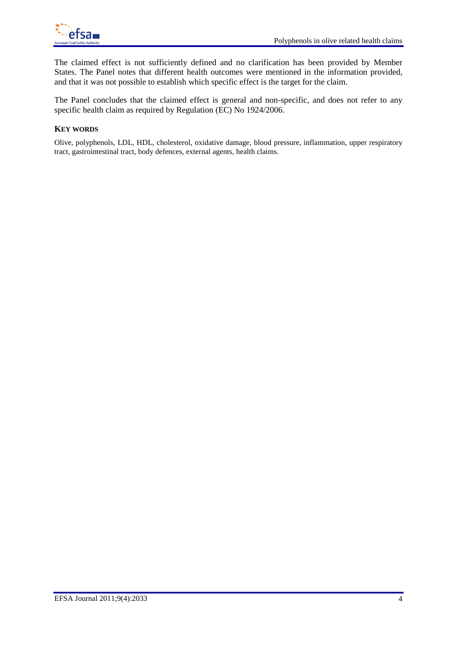

The claimed effect is not sufficiently defined and no clarification has been provided by Member States. The Panel notes that different health outcomes were mentioned in the information provided, and that it was not possible to establish which specific effect is the target for the claim.

The Panel concludes that the claimed effect is general and non-specific, and does not refer to any specific health claim as required by Regulation (EC) No 1924/2006.

### **KEY WORDS**

Olive, polyphenols, LDL, HDL, cholesterol, oxidative damage, blood pressure, inflammation, upper respiratory tract, gastrointestinal tract, body defences, external agents, health claims.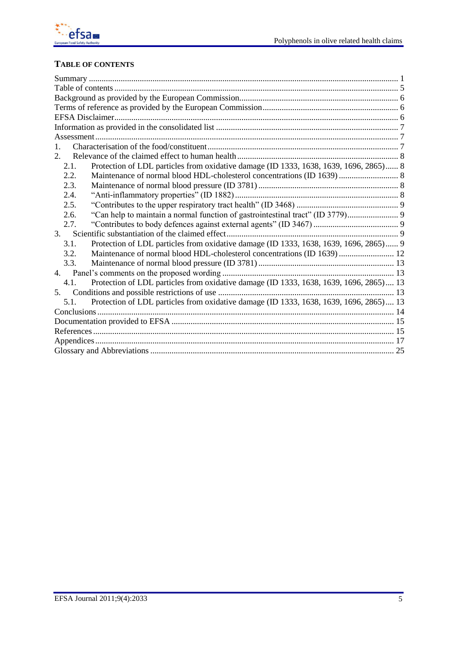

# <span id="page-4-0"></span>**TABLE OF CONTENTS**

| $\mathbf{1}$ .                                                                                 |  |  |
|------------------------------------------------------------------------------------------------|--|--|
| $2_{-}$                                                                                        |  |  |
| Protection of LDL particles from oxidative damage (ID 1333, 1638, 1639, 1696, 2865) 8<br>2.1.  |  |  |
| Maintenance of normal blood HDL-cholesterol concentrations (ID 1639)  8<br>2.2.                |  |  |
| 2.3.                                                                                           |  |  |
| 2.4.                                                                                           |  |  |
| 2.5.                                                                                           |  |  |
| 2.6.                                                                                           |  |  |
| 2.7.                                                                                           |  |  |
| 3.                                                                                             |  |  |
| Protection of LDL particles from oxidative damage (ID 1333, 1638, 1639, 1696, 2865) 9<br>3.1.  |  |  |
| Maintenance of normal blood HDL-cholesterol concentrations (ID 1639)  12<br>3.2.               |  |  |
| 3.3.                                                                                           |  |  |
|                                                                                                |  |  |
| Protection of LDL particles from oxidative damage (ID 1333, 1638, 1639, 1696, 2865) 13<br>4.1. |  |  |
| 5.                                                                                             |  |  |
| Protection of LDL particles from oxidative damage (ID 1333, 1638, 1639, 1696, 2865) 13<br>5.1. |  |  |
|                                                                                                |  |  |
|                                                                                                |  |  |
|                                                                                                |  |  |
|                                                                                                |  |  |
|                                                                                                |  |  |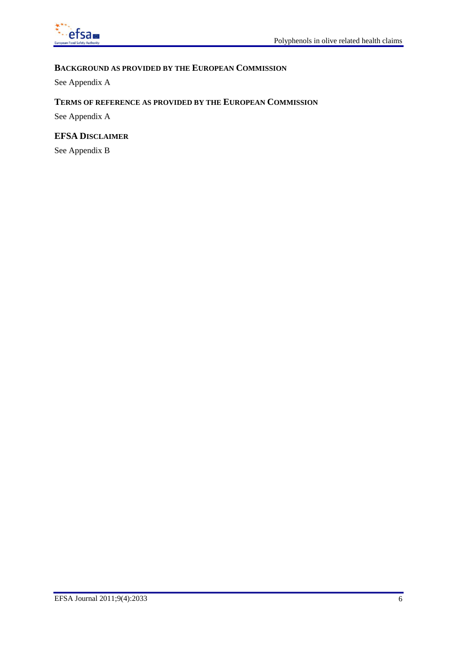

### <span id="page-5-0"></span>**BACKGROUND AS PROVIDED BY THE EUROPEAN COMMISSION**

See Appendix A

### <span id="page-5-1"></span>**TERMS OF REFERENCE AS PROVIDED BY THE EUROPEAN COMMISSION**

See Appendix A

# <span id="page-5-2"></span>**EFSA DISCLAIMER**

See Appendix B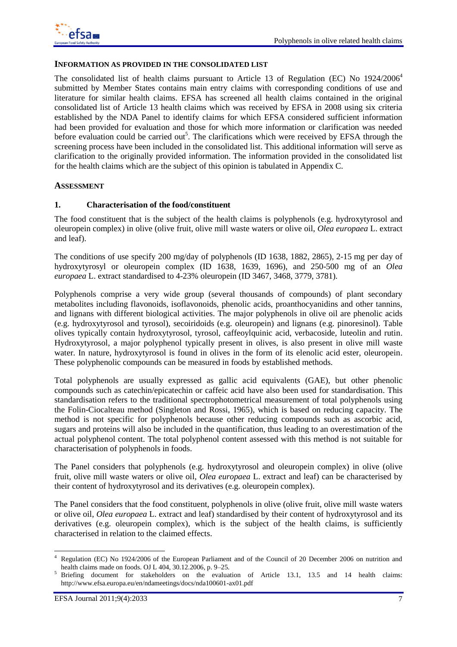

#### <span id="page-6-0"></span>**INFORMATION AS PROVIDED IN THE CONSOLIDATED LIST**

The consolidated list of health claims pursuant to Article 13 of Regulation (EC) No 1924/2006<sup>4</sup> submitted by Member States contains main entry claims with corresponding conditions of use and literature for similar health claims. EFSA has screened all health claims contained in the original consolidated list of Article 13 health claims which was received by EFSA in 2008 using six criteria established by the NDA Panel to identify claims for which EFSA considered sufficient information had been provided for evaluation and those for which more information or clarification was needed before evaluation could be carried out<sup>5</sup>. The clarifications which were received by EFSA through the screening process have been included in the consolidated list. This additional information will serve as clarification to the originally provided information. The information provided in the consolidated list for the health claims which are the subject of this opinion is tabulated in Appendix C.

#### <span id="page-6-1"></span>**ASSESSMENT**

#### <span id="page-6-2"></span>**1. Characterisation of the food/constituent**

The food constituent that is the subject of the health claims is polyphenols (e.g. hydroxytyrosol and oleuropein complex) in olive (olive fruit, olive mill waste waters or olive oil, *Olea europaea* L. extract and leaf).

The conditions of use specify 200 mg/day of polyphenols (ID 1638, 1882, 2865), 2-15 mg per day of hydroxytyrosyl or oleuropein complex (ID 1638, 1639, 1696), and 250-500 mg of an *Olea europaea* L. extract standardised to 4-23% oleuropein (ID 3467, 3468, 3779, 3781).

Polyphenols comprise a very wide group (several thousands of compounds) of plant secondary metabolites including flavonoids, isoflavonoids, phenolic acids, proanthocyanidins and other tannins, and lignans with different biological activities. The major polyphenols in olive oil are phenolic acids (e.g. hydroxytyrosol and tyrosol), secoiridoids (e.g. oleuropein) and lignans (e.g. pinoresinol). Table olives typically contain hydroxytyrosol, tyrosol, caffeoylquinic acid, verbacoside, luteolin and rutin. Hydroxytyrosol, a major polyphenol typically present in olives, is also present in olive mill waste water. In nature, hydroxytyrosol is found in olives in the form of its elenolic acid ester, oleuropein. These polyphenolic compounds can be measured in foods by established methods.

Total polyphenols are usually expressed as gallic acid equivalents (GAE), but other phenolic compounds such as catechin/epicatechin or caffeic acid have also been used for standardisation. This standardisation refers to the traditional spectrophotometrical measurement of total polyphenols using the Folin-Ciocalteau method (Singleton and Rossi, 1965), which is based on reducing capacity. The method is not specific for polyphenols because other reducing compounds such as ascorbic acid, sugars and proteins will also be included in the quantification, thus leading to an overestimation of the actual polyphenol content. The total polyphenol content assessed with this method is not suitable for characterisation of polyphenols in foods.

The Panel considers that polyphenols (e.g. hydroxytyrosol and oleuropein complex) in olive (olive fruit, olive mill waste waters or olive oil, *Olea europaea* L. extract and leaf) can be characterised by their content of hydroxytyrosol and its derivatives (e.g. oleuropein complex).

The Panel considers that the food constituent, polyphenols in olive (olive fruit, olive mill waste waters or olive oil, *Olea europaea* L. extract and leaf) standardised by their content of hydroxytyrosol and its derivatives (e.g. oleuropein complex), which is the subject of the health claims, is sufficiently characterised in relation to the claimed effects.

 $\overline{a}$ <sup>4</sup> Regulation (EC) No 1924/2006 of the European Parliament and of the Council of 20 December 2006 on nutrition and health claims made on foods. OJ L 404, 30.12.2006, p. 9–25.

<sup>&</sup>lt;sup>5</sup> Briefing document for stakeholders on the evaluation of Article 13.1, 13.5 and 14 health claims: <http://www.efsa.europa.eu/en/ndameetings/docs/nda100601-ax01.pdf>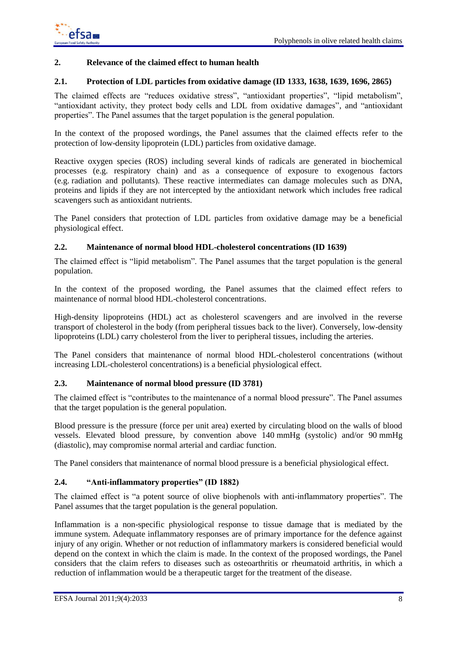### <span id="page-7-0"></span>**2. Relevance of the claimed effect to human health**

#### <span id="page-7-1"></span>**2.1. Protection of LDL particles from oxidative damage (ID 1333, 1638, 1639, 1696, 2865)**

The claimed effects are "reduces oxidative stress", "antioxidant properties", "lipid metabolism", "antioxidant activity, they protect body cells and LDL from oxidative damages", and "antioxidant properties". The Panel assumes that the target population is the general population.

In the context of the proposed wordings, the Panel assumes that the claimed effects refer to the protection of low-density lipoprotein (LDL) particles from oxidative damage.

Reactive oxygen species (ROS) including several kinds of radicals are generated in biochemical processes (e.g. respiratory chain) and as a consequence of exposure to exogenous factors (e.g. radiation and pollutants). These reactive intermediates can damage molecules such as DNA, proteins and lipids if they are not intercepted by the antioxidant network which includes free radical scavengers such as antioxidant nutrients.

The Panel considers that protection of LDL particles from oxidative damage may be a beneficial physiological effect.

#### <span id="page-7-2"></span>**2.2. Maintenance of normal blood HDL-cholesterol concentrations (ID 1639)**

The claimed effect is "lipid metabolism". The Panel assumes that the target population is the general population.

In the context of the proposed wording, the Panel assumes that the claimed effect refers to maintenance of normal blood HDL-cholesterol concentrations.

High-density lipoproteins (HDL) act as cholesterol scavengers and are involved in the reverse transport of cholesterol in the body (from peripheral tissues back to the liver). Conversely, low-density lipoproteins (LDL) carry cholesterol from the liver to peripheral tissues, including the arteries.

The Panel considers that maintenance of normal blood HDL-cholesterol concentrations (without increasing LDL-cholesterol concentrations) is a beneficial physiological effect.

#### <span id="page-7-3"></span>**2.3. Maintenance of normal blood pressure (ID 3781)**

The claimed effect is "contributes to the maintenance of a normal blood pressure". The Panel assumes that the target population is the general population.

Blood pressure is the pressure (force per unit area) exerted by circulating blood on the walls of blood vessels. Elevated blood pressure, by convention above 140 mmHg (systolic) and/or 90 mmHg (diastolic), may compromise normal arterial and cardiac function.

The Panel considers that maintenance of normal blood pressure is a beneficial physiological effect.

### <span id="page-7-4"></span>**2.4. "Anti-inflammatory properties" (ID 1882)**

The claimed effect is "a potent source of olive biophenols with anti-inflammatory properties". The Panel assumes that the target population is the general population.

Inflammation is a non-specific physiological response to tissue damage that is mediated by the immune system. Adequate inflammatory responses are of primary importance for the defence against injury of any origin. Whether or not reduction of inflammatory markers is considered beneficial would depend on the context in which the claim is made. In the context of the proposed wordings, the Panel considers that the claim refers to diseases such as osteoarthritis or rheumatoid arthritis, in which a reduction of inflammation would be a therapeutic target for the treatment of the disease.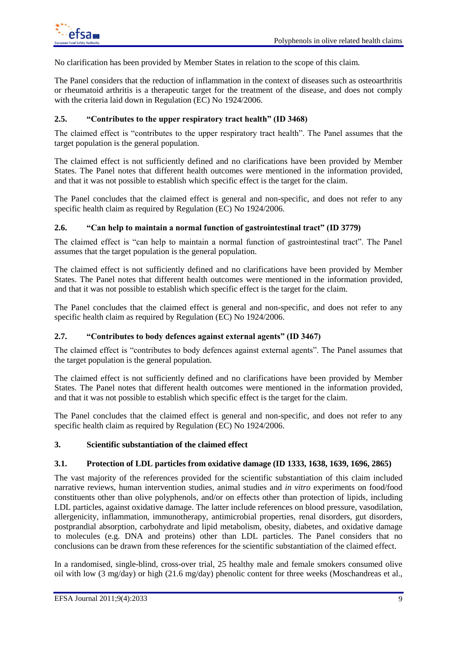No clarification has been provided by Member States in relation to the scope of this claim.

The Panel considers that the reduction of inflammation in the context of diseases such as osteoarthritis or rheumatoid arthritis is a therapeutic target for the treatment of the disease, and does not comply with the criteria laid down in Regulation (EC) No 1924/2006.

## <span id="page-8-0"></span>**2.5. "Contributes to the upper respiratory tract health" (ID 3468)**

The claimed effect is "contributes to the upper respiratory tract health". The Panel assumes that the target population is the general population.

The claimed effect is not sufficiently defined and no clarifications have been provided by Member States. The Panel notes that different health outcomes were mentioned in the information provided, and that it was not possible to establish which specific effect is the target for the claim.

The Panel concludes that the claimed effect is general and non-specific, and does not refer to any specific health claim as required by Regulation (EC) No 1924/2006.

### <span id="page-8-1"></span>**2.6. "Can help to maintain a normal function of gastrointestinal tract" (ID 3779)**

The claimed effect is "can help to maintain a normal function of gastrointestinal tract". The Panel assumes that the target population is the general population.

The claimed effect is not sufficiently defined and no clarifications have been provided by Member States. The Panel notes that different health outcomes were mentioned in the information provided, and that it was not possible to establish which specific effect is the target for the claim.

The Panel concludes that the claimed effect is general and non-specific, and does not refer to any specific health claim as required by Regulation (EC) No 1924/2006.

### <span id="page-8-2"></span>**2.7. "Contributes to body defences against external agents" (ID 3467)**

The claimed effect is "contributes to body defences against external agents". The Panel assumes that the target population is the general population.

The claimed effect is not sufficiently defined and no clarifications have been provided by Member States. The Panel notes that different health outcomes were mentioned in the information provided, and that it was not possible to establish which specific effect is the target for the claim.

The Panel concludes that the claimed effect is general and non-specific, and does not refer to any specific health claim as required by Regulation (EC) No 1924/2006.

### <span id="page-8-3"></span>**3. Scientific substantiation of the claimed effect**

### <span id="page-8-4"></span>**3.1. Protection of LDL particles from oxidative damage (ID 1333, 1638, 1639, 1696, 2865)**

The vast majority of the references provided for the scientific substantiation of this claim included narrative reviews, human intervention studies, animal studies and *in vitro* experiments on food/food constituents other than olive polyphenols, and/or on effects other than protection of lipids, including LDL particles, against oxidative damage. The latter include references on blood pressure, vasodilation, allergenicity, inflammation, immunotherapy, antimicrobial properties, renal disorders, gut disorders, postprandial absorption, carbohydrate and lipid metabolism, obesity, diabetes, and oxidative damage to molecules (e.g. DNA and proteins) other than LDL particles. The Panel considers that no conclusions can be drawn from these references for the scientific substantiation of the claimed effect.

In a randomised, single-blind, cross-over trial, 25 healthy male and female smokers consumed olive oil with low (3 mg/day) or high (21.6 mg/day) phenolic content for three weeks (Moschandreas et al.,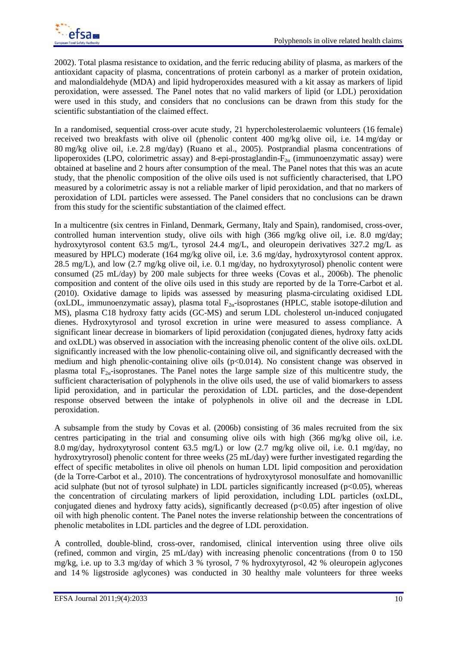2002). Total plasma resistance to oxidation, and the ferric reducing ability of plasma, as markers of the antioxidant capacity of plasma, concentrations of protein carbonyl as a marker of protein oxidation, and malondialdehyde (MDA) and lipid hydroperoxides measured with a kit assay as markers of lipid peroxidation, were assessed. The Panel notes that no valid markers of lipid (or LDL) peroxidation were used in this study, and considers that no conclusions can be drawn from this study for the scientific substantiation of the claimed effect.

In a randomised, sequential cross-over acute study, 21 hypercholesterolaemic volunteers (16 female) received two breakfasts with olive oil (phenolic content 400 mg/kg olive oil, i.e. 14 mg/day or 80 mg/kg olive oil, i.e. 2.8 mg/day) (Ruano et al., 2005). Postprandial plasma concentrations of lipoperoxides (LPO, colorimetric assay) and 8-epi-prostaglandin- $F_{2\alpha}$  (immunoenzymatic assay) were obtained at baseline and 2 hours after consumption of the meal. The Panel notes that this was an acute study, that the phenolic composition of the olive oils used is not sufficiently characterised, that LPO measured by a colorimetric assay is not a reliable marker of lipid peroxidation, and that no markers of peroxidation of LDL particles were assessed. The Panel considers that no conclusions can be drawn from this study for the scientific substantiation of the claimed effect.

In a multicentre (six centres in Finland, Denmark, Germany, Italy and Spain), randomised, cross-over, controlled human intervention study, olive oils with high (366 mg/kg olive oil, i.e. 8.0 mg/day; hydroxytyrosol content 63.5 mg/L, tyrosol 24.4 mg/L, and oleuropein derivatives 327.2 mg/L as measured by HPLC) moderate (164 mg/kg olive oil, i.e. 3.6 mg/day, hydroxytyrosol content approx. 28.5 mg/L), and low (2.7 mg/kg olive oil, i.e. 0.1 mg/day, no hydroxytyrosol) phenolic content were consumed (25 mL/day) by 200 male subjects for three weeks (Covas et al., 2006b). The phenolic composition and content of the olive oils used in this study are reported by de la Torre-Carbot et al. (2010). Oxidative damage to lipids was assessed by measuring plasma-circulating oxidised LDL (oxLDL, immunoenzymatic assay), plasma total  $F_{2a}$ -isoprostanes (HPLC, stable isotope-dilution and MS), plasma C18 hydroxy fatty acids (GC-MS) and serum LDL cholesterol un-induced conjugated dienes. Hydroxytyrosol and tyrosol excretion in urine were measured to assess compliance. A significant linear decrease in biomarkers of lipid peroxidation (conjugated dienes, hydroxy fatty acids and oxLDL) was observed in association with the increasing phenolic content of the olive oils. oxLDL significantly increased with the low phenolic-containing olive oil, and significantly decreased with the medium and high phenolic-containing olive oils (p<0.014). No consistent change was observed in plasma total  $F_{2\alpha}$ -isoprostanes. The Panel notes the large sample size of this multicentre study, the sufficient characterisation of polyphenols in the olive oils used, the use of valid biomarkers to assess lipid peroxidation, and in particular the peroxidation of LDL particles, and the dose-dependent response observed between the intake of polyphenols in olive oil and the decrease in LDL peroxidation.

A subsample from the study by Covas et al. (2006b) consisting of 36 males recruited from the six centres participating in the trial and consuming olive oils with high (366 mg/kg olive oil, i.e. 8.0 mg/day, hydroxytyrosol content 63.5 mg/L) or low (2.7 mg/kg olive oil, i.e. 0.1 mg/day, no hydroxytryrosol) phenolic content for three weeks (25 mL/day) were further investigated regarding the effect of specific metabolites in olive oil phenols on human LDL lipid composition and peroxidation (de la Torre-Carbot et al., 2010). The concentrations of hydroxytyrosol monosulfate and homovanillic acid sulphate (but not of tyrosol sulphate) in LDL particles significantly increased ( $p<0.05$ ), whereas the concentration of circulating markers of lipid peroxidation, including LDL particles (oxLDL, conjugated dienes and hydroxy fatty acids), significantly decreased  $(p<0.05)$  after ingestion of olive oil with high phenolic content. The Panel notes the inverse relationship between the concentrations of phenolic metabolites in LDL particles and the degree of LDL peroxidation.

A controlled, double-blind, cross-over, randomised, clinical intervention using three olive oils (refined, common and virgin, 25 mL/day) with increasing phenolic concentrations (from 0 to 150 mg/kg, i.e. up to 3.3 mg/day of which 3 % tyrosol, 7 % hydroxytyrosol, 42 % oleuropein aglycones and 14 % ligstroside aglycones) was conducted in 30 healthy male volunteers for three weeks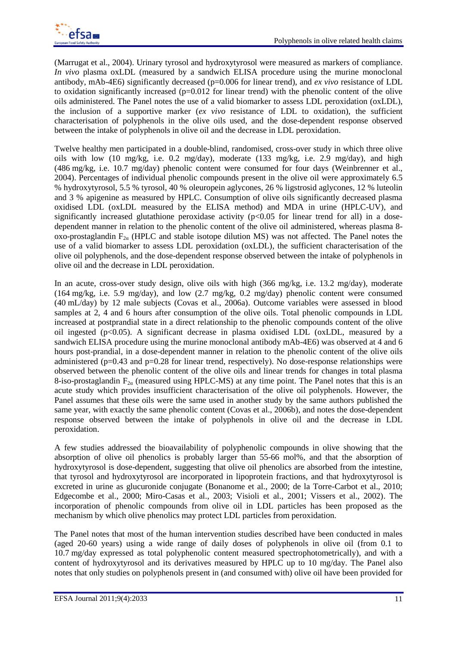

(Marrugat et al., 2004). Urinary tyrosol and hydroxytyrosol were measured as markers of compliance. *In vivo* plasma oxLDL (measured by a sandwich ELISA procedure using the murine monoclonal antibody, mAb-4E6) significantly decreased (p=0.006 for linear trend), and *ex vivo* resistance of LDL to oxidation significantly increased  $(p=0.012$  for linear trend) with the phenolic content of the olive oils administered. The Panel notes the use of a valid biomarker to assess LDL peroxidation (oxLDL), the inclusion of a supportive marker (*ex vivo* resistance of LDL to oxidation), the sufficient characterisation of polyphenols in the olive oils used, and the dose-dependent response observed between the intake of polyphenols in olive oil and the decrease in LDL peroxidation.

Twelve healthy men participated in a double-blind, randomised, cross-over study in which three olive oils with low (10 mg/kg, i.e. 0.2 mg/day), moderate (133 mg/kg, i.e. 2.9 mg/day), and high (486 mg/kg, i.e. 10.7 mg/day) phenolic content were consumed for four days (Weinbrenner et al., 2004). Percentages of individual phenolic compounds present in the olive oil were approximately 6.5 % hydroxytyrosol, 5.5 % tyrosol, 40 % oleuropein aglycones, 26 % ligstrosid aglycones, 12 % luteolin and 3 % apigenine as measured by HPLC. Consumption of olive oils significantly decreased plasma oxidised LDL (oxLDL measured by the ELISA method) and MDA in urine (HPLC-UV), and significantly increased glutathione peroxidase activity  $(p<0.05$  for linear trend for all) in a dosedependent manner in relation to the phenolic content of the olive oil administered, whereas plasma 8 oxo-prostaglandin  $F_{2\alpha}$  (HPLC and stable isotope dilution MS) was not affected. The Panel notes the use of a valid biomarker to assess LDL peroxidation (oxLDL), the sufficient characterisation of the olive oil polyphenols, and the dose-dependent response observed between the intake of polyphenols in olive oil and the decrease in LDL peroxidation.

In an acute, cross-over study design, olive oils with high (366 mg/kg, i.e. 13.2 mg/day), moderate (164 mg/kg, i.e. 5.9 mg/day), and low  $(2.7 \text{ mg/kg}, 0.2 \text{ mg/day})$  phenolic content were consumed (40 mL/day) by 12 male subjects (Covas et al., 2006a). Outcome variables were assessed in blood samples at 2, 4 and 6 hours after consumption of the olive oils. Total phenolic compounds in LDL increased at postprandial state in a direct relationship to the phenolic compounds content of the olive oil ingested  $(p<0.05)$ . A significant decrease in plasma oxidised LDL (oxLDL, measured by a sandwich ELISA procedure using the murine monoclonal antibody mAb-4E6) was observed at 4 and 6 hours post-prandial, in a dose-dependent manner in relation to the phenolic content of the olive oils administered ( $p=0.43$  and  $p=0.28$  for linear trend, respectively). No dose-response relationships were observed between the phenolic content of the olive oils and linear trends for changes in total plasma 8-iso-prostaglandin  $F_{2\alpha}$  (measured using HPLC-MS) at any time point. The Panel notes that this is an acute study which provides insufficient characterisation of the olive oil polyphenols. However, the Panel assumes that these oils were the same used in another study by the same authors published the same year, with exactly the same phenolic content (Covas et al., 2006b), and notes the dose-dependent response observed between the intake of polyphenols in olive oil and the decrease in LDL peroxidation.

A few studies addressed the bioavailability of polyphenolic compounds in olive showing that the absorption of olive oil phenolics is probably larger than 55-66 mol%, and that the absorption of hydroxytyrosol is dose-dependent, suggesting that olive oil phenolics are absorbed from the intestine, that tyrosol and hydroxytyrosol are incorporated in lipoprotein fractions, and that hydroxytyrosol is excreted in urine as glucuronide conjugate (Bonanome et al., 2000; de la Torre-Carbot et al., 2010; Edgecombe et al., 2000; Miro-Casas et al., 2003; Visioli et al., 2001; Vissers et al., 2002). The incorporation of phenolic compounds from olive oil in LDL particles has been proposed as the mechanism by which olive phenolics may protect LDL particles from peroxidation.

The Panel notes that most of the human intervention studies described have been conducted in males (aged 20-60 years) using a wide range of daily doses of polyphenols in olive oil (from 0.1 to 10.7 mg/day expressed as total polyphenolic content measured spectrophotometrically), and with a content of hydroxytyrosol and its derivatives measured by HPLC up to 10 mg/day. The Panel also notes that only studies on polyphenols present in (and consumed with) olive oil have been provided for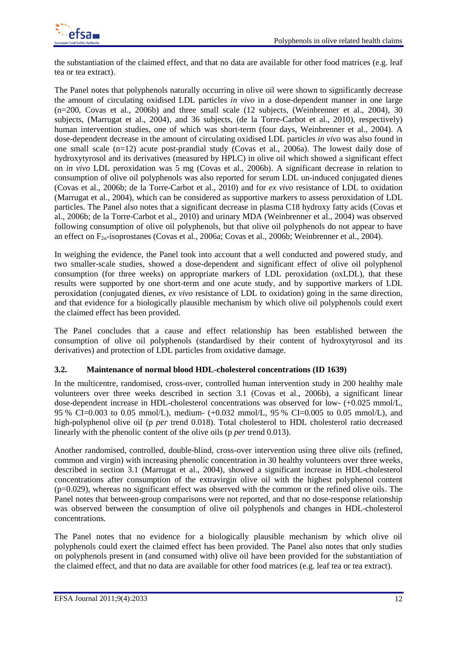

the substantiation of the claimed effect, and that no data are available for other food matrices (e.g. leaf tea or tea extract).

The Panel notes that polyphenols naturally occurring in olive oil were shown to significantly decrease the amount of circulating oxidised LDL particles *in vivo* in a dose-dependent manner in one large (n=200, Covas et al., 2006b) and three small scale (12 subjects, (Weinbrenner et al., 2004), 30 subjects, (Marrugat et al., 2004), and 36 subjects, (de la Torre-Carbot et al., 2010), respectively) human intervention studies, one of which was short-term (four days, Weinbrenner et al., 2004). A dose-dependent decrease in the amount of circulating oxidised LDL particles *in vivo* was also found in one small scale (n=12) acute post-prandial study (Covas et al., 2006a). The lowest daily dose of hydroxytyrosol and its derivatives (measured by HPLC) in olive oil which showed a significant effect on *in vivo* LDL peroxidation was 5 mg (Covas et al., 2006b). A significant decrease in relation to consumption of olive oil polyphenols was also reported for serum LDL un-induced conjugated dienes (Covas et al., 2006b; de la Torre-Carbot et al., 2010) and for *ex vivo* resistance of LDL to oxidation (Marrugat et al., 2004), which can be considered as supportive markers to assess peroxidation of LDL particles. The Panel also notes that a significant decrease in plasma C18 hydroxy fatty acids (Covas et al., 2006b; de la Torre-Carbot et al., 2010) and urinary MDA (Weinbrenner et al., 2004) was observed following consumption of olive oil polyphenols, but that olive oil polyphenols do not appear to have an effect on  $F_{2a}$ -isoprostanes (Covas et al., 2006a; Covas et al., 2006b; Weinbrenner et al., 2004).

In weighing the evidence, the Panel took into account that a well conducted and powered study, and two smaller-scale studies, showed a dose-dependent and significant effect of olive oil polyphenol consumption (for three weeks) on appropriate markers of LDL peroxidation (oxLDL), that these results were supported by one short-term and one acute study, and by supportive markers of LDL peroxidation (conjugated dienes, *ex vivo* resistance of LDL to oxidation) going in the same direction, and that evidence for a biologically plausible mechanism by which olive oil polyphenols could exert the claimed effect has been provided.

The Panel concludes that a cause and effect relationship has been established between the consumption of olive oil polyphenols (standardised by their content of hydroxytyrosol and its derivatives) and protection of LDL particles from oxidative damage.

### <span id="page-11-0"></span>**3.2. Maintenance of normal blood HDL-cholesterol concentrations (ID 1639)**

In the multicentre, randomised, cross-over, controlled human intervention study in 200 healthy male volunteers over three weeks described in section 3.1 (Covas et al., 2006b), a significant linear dose-dependent increase in HDL-cholesterol concentrations was observed for low- (+0.025 mmol/L, 95 % CI=0.003 to 0.05 mmol/L), medium- (+0.032 mmol/L, 95 % CI=0.005 to 0.05 mmol/L), and high-polyphenol olive oil (p *per* trend 0.018). Total cholesterol to HDL cholesterol ratio decreased linearly with the phenolic content of the olive oils (p *per* trend 0.013).

Another randomised, controlled, double-blind, cross-over intervention using three olive oils (refined, common and virgin) with increasing phenolic concentration in 30 healthy volunteers over three weeks, described in section 3.1 (Marrugat et al., 2004), showed a significant increase in HDL-cholesterol concentrations after consumption of the extravirgin olive oil with the highest polyphenol content  $(p=0.029)$ , whereas no significant effect was observed with the common or the refined olive oils. The Panel notes that between-group comparisons were not reported, and that no dose-response relationship was observed between the consumption of olive oil polyphenols and changes in HDL-cholesterol concentrations.

The Panel notes that no evidence for a biologically plausible mechanism by which olive oil polyphenols could exert the claimed effect has been provided. The Panel also notes that only studies on polyphenols present in (and consumed with) olive oil have been provided for the substantiation of the claimed effect, and that no data are available for other food matrices (e.g. leaf tea or tea extract).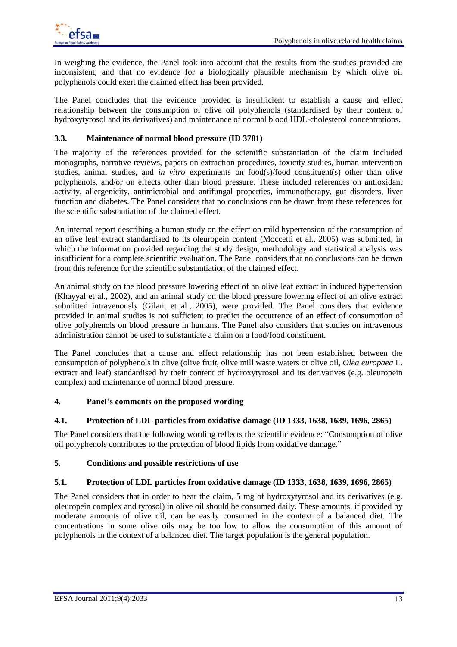In weighing the evidence, the Panel took into account that the results from the studies provided are inconsistent, and that no evidence for a biologically plausible mechanism by which olive oil polyphenols could exert the claimed effect has been provided.

The Panel concludes that the evidence provided is insufficient to establish a cause and effect relationship between the consumption of olive oil polyphenols (standardised by their content of hydroxytyrosol and its derivatives) and maintenance of normal blood HDL-cholesterol concentrations.

### <span id="page-12-0"></span>**3.3. Maintenance of normal blood pressure (ID 3781)**

The majority of the references provided for the scientific substantiation of the claim included monographs, narrative reviews, papers on extraction procedures, toxicity studies, human intervention studies, animal studies, and *in vitro* experiments on food(s)/food constituent(s) other than olive polyphenols, and/or on effects other than blood pressure. These included references on antioxidant activity, allergenicity, antimicrobial and antifungal properties, immunotherapy, gut disorders, liver function and diabetes. The Panel considers that no conclusions can be drawn from these references for the scientific substantiation of the claimed effect.

An internal report describing a human study on the effect on mild hypertension of the consumption of an olive leaf extract standardised to its oleuropein content (Moccetti et al., 2005) was submitted, in which the information provided regarding the study design, methodology and statistical analysis was insufficient for a complete scientific evaluation. The Panel considers that no conclusions can be drawn from this reference for the scientific substantiation of the claimed effect.

An animal study on the blood pressure lowering effect of an olive leaf extract in induced hypertension (Khayyal et al., 2002), and an animal study on the blood pressure lowering effect of an olive extract submitted intravenously (Gilani et al., 2005), were provided. The Panel considers that evidence provided in animal studies is not sufficient to predict the occurrence of an effect of consumption of olive polyphenols on blood pressure in humans. The Panel also considers that studies on intravenous administration cannot be used to substantiate a claim on a food/food constituent.

The Panel concludes that a cause and effect relationship has not been established between the consumption of polyphenols in olive (olive fruit, olive mill waste waters or olive oil, *Olea europaea* L. extract and leaf) standardised by their content of hydroxytyrosol and its derivatives (e.g. oleuropein complex) and maintenance of normal blood pressure.

### <span id="page-12-1"></span>**4. Panel's comments on the proposed wording**

### <span id="page-12-2"></span>**4.1. Protection of LDL particles from oxidative damage (ID 1333, 1638, 1639, 1696, 2865)**

The Panel considers that the following wording reflects the scientific evidence: "Consumption of olive oil polyphenols contributes to the protection of blood lipids from oxidative damage."

### <span id="page-12-3"></span>**5. Conditions and possible restrictions of use**

### <span id="page-12-4"></span>**5.1. Protection of LDL particles from oxidative damage (ID 1333, 1638, 1639, 1696, 2865)**

The Panel considers that in order to bear the claim, 5 mg of hydroxytyrosol and its derivatives (e.g. oleuropein complex and tyrosol) in olive oil should be consumed daily. These amounts, if provided by moderate amounts of olive oil, can be easily consumed in the context of a balanced diet. The concentrations in some olive oils may be too low to allow the consumption of this amount of polyphenols in the context of a balanced diet. The target population is the general population.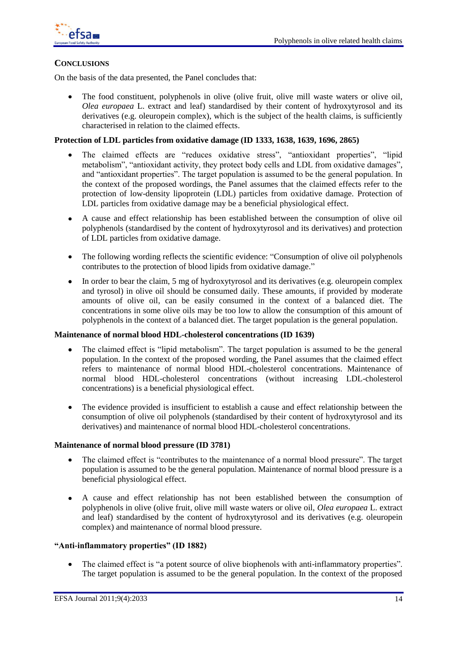

# <span id="page-13-0"></span>**CONCLUSIONS**

On the basis of the data presented, the Panel concludes that:

The food constituent, polyphenols in olive (olive fruit, olive mill waste waters or olive oil, *Olea europaea* L. extract and leaf) standardised by their content of hydroxytyrosol and its derivatives (e.g. oleuropein complex), which is the subject of the health claims, is sufficiently characterised in relation to the claimed effects.

#### **Protection of LDL particles from oxidative damage (ID 1333, 1638, 1639, 1696, 2865)**

- The claimed effects are "reduces oxidative stress", "antioxidant properties", "lipid metabolism", "antioxidant activity, they protect body cells and LDL from oxidative damages", and "antioxidant properties". The target population is assumed to be the general population. In the context of the proposed wordings, the Panel assumes that the claimed effects refer to the protection of low-density lipoprotein (LDL) particles from oxidative damage. Protection of LDL particles from oxidative damage may be a beneficial physiological effect.
- A cause and effect relationship has been established between the consumption of olive oil polyphenols (standardised by the content of hydroxytyrosol and its derivatives) and protection of LDL particles from oxidative damage.
- The following wording reflects the scientific evidence: "Consumption of olive oil polyphenols contributes to the protection of blood lipids from oxidative damage."
- In order to bear the claim, 5 mg of hydroxytyrosol and its derivatives (e.g. oleuropein complex  $\bullet$ and tyrosol) in olive oil should be consumed daily. These amounts, if provided by moderate amounts of olive oil, can be easily consumed in the context of a balanced diet. The concentrations in some olive oils may be too low to allow the consumption of this amount of polyphenols in the context of a balanced diet. The target population is the general population.

#### **Maintenance of normal blood HDL-cholesterol concentrations (ID 1639)**

- The claimed effect is "lipid metabolism". The target population is assumed to be the general population. In the context of the proposed wording, the Panel assumes that the claimed effect refers to maintenance of normal blood HDL-cholesterol concentrations. Maintenance of normal blood HDL-cholesterol concentrations (without increasing LDL-cholesterol concentrations) is a beneficial physiological effect.
- The evidence provided is insufficient to establish a cause and effect relationship between the consumption of olive oil polyphenols (standardised by their content of hydroxytyrosol and its derivatives) and maintenance of normal blood HDL-cholesterol concentrations.

#### **Maintenance of normal blood pressure (ID 3781)**

- The claimed effect is "contributes to the maintenance of a normal blood pressure". The target population is assumed to be the general population. Maintenance of normal blood pressure is a beneficial physiological effect.
- A cause and effect relationship has not been established between the consumption of polyphenols in olive (olive fruit, olive mill waste waters or olive oil, *Olea europaea* L. extract and leaf) standardised by the content of hydroxytyrosol and its derivatives (e.g. oleuropein complex) and maintenance of normal blood pressure.

#### **"Anti-inflammatory properties" (ID 1882)**

The claimed effect is "a potent source of olive biophenols with anti-inflammatory properties".  $\bullet$ The target population is assumed to be the general population. In the context of the proposed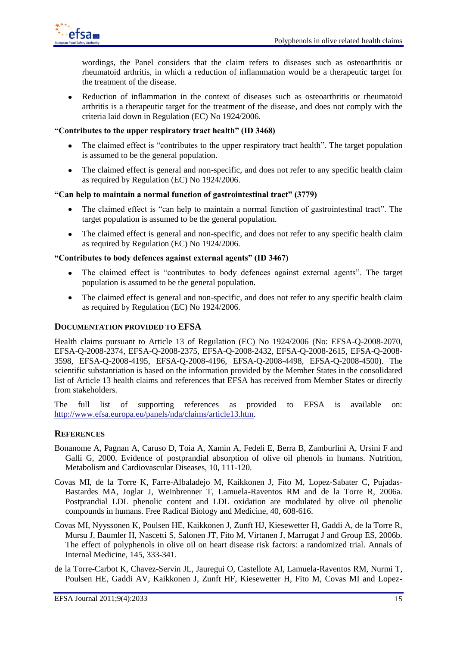



wordings, the Panel considers that the claim refers to diseases such as osteoarthritis or rheumatoid arthritis, in which a reduction of inflammation would be a therapeutic target for the treatment of the disease.

Reduction of inflammation in the context of diseases such as osteoarthritis or rheumatoid arthritis is a therapeutic target for the treatment of the disease, and does not comply with the criteria laid down in Regulation (EC) No 1924/2006.

### **"Contributes to the upper respiratory tract health" (ID 3468)**

- The claimed effect is "contributes to the upper respiratory tract health". The target population is assumed to be the general population.
- The claimed effect is general and non-specific, and does not refer to any specific health claim  $\bullet$ as required by Regulation (EC) No 1924/2006.

#### **"Can help to maintain a normal function of gastrointestinal tract" (3779)**

- The claimed effect is "can help to maintain a normal function of gastrointestinal tract". The target population is assumed to be the general population.
- The claimed effect is general and non-specific, and does not refer to any specific health claim as required by Regulation (EC) No 1924/2006.

#### **"Contributes to body defences against external agents" (ID 3467)**

- The claimed effect is "contributes to body defences against external agents". The target  $\bullet$ population is assumed to be the general population.
- The claimed effect is general and non-specific, and does not refer to any specific health claim as required by Regulation (EC) No 1924/2006.

### <span id="page-14-0"></span>**DOCUMENTATION PROVIDED TO EFSA**

Health claims pursuant to Article 13 of Regulation (EC) No 1924/2006 (No: EFSA-Q-2008-2070, EFSA-Q-2008-2374, EFSA-Q-2008-2375, EFSA-Q-2008-2432, EFSA-Q-2008-2615, EFSA-Q-2008- 3598, EFSA-Q-2008-4195, EFSA-Q-2008-4196, EFSA-Q-2008-4498, EFSA-Q-2008-4500). The scientific substantiation is based on the information provided by the Member States in the consolidated list of Article 13 health claims and references that EFSA has received from Member States or directly from stakeholders.

The full list of supporting references as provided to EFSA is available on: [http://www.efsa.europa.eu/panels/nda/claims/article13.htm.](http://www.efsa.europa.eu/panels/nda/claims/article13.htm)

#### <span id="page-14-1"></span>**REFERENCES**

- Bonanome A, Pagnan A, Caruso D, Toia A, Xamin A, Fedeli E, Berra B, Zamburlini A, Ursini F and Galli G, 2000. Evidence of postprandial absorption of olive oil phenols in humans. Nutrition, Metabolism and Cardiovascular Diseases, 10, 111-120.
- Covas MI, de la Torre K, Farre-Albaladejo M, Kaikkonen J, Fito M, Lopez-Sabater C, Pujadas-Bastardes MA, Joglar J, Weinbrenner T, Lamuela-Raventos RM and de la Torre R, 2006a. Postprandial LDL phenolic content and LDL oxidation are modulated by olive oil phenolic compounds in humans. Free Radical Biology and Medicine, 40, 608-616.
- Covas MI, Nyyssonen K, Poulsen HE, Kaikkonen J, Zunft HJ, Kiesewetter H, Gaddi A, de la Torre R, Mursu J, Baumler H, Nascetti S, Salonen JT, Fito M, Virtanen J, Marrugat J and Group ES, 2006b. The effect of polyphenols in olive oil on heart disease risk factors: a randomized trial. Annals of Internal Medicine, 145, 333-341.
- de la Torre-Carbot K, Chavez-Servin JL, Jauregui O, Castellote AI, Lamuela-Raventos RM, Nurmi T, Poulsen HE, Gaddi AV, Kaikkonen J, Zunft HF, Kiesewetter H, Fito M, Covas MI and Lopez-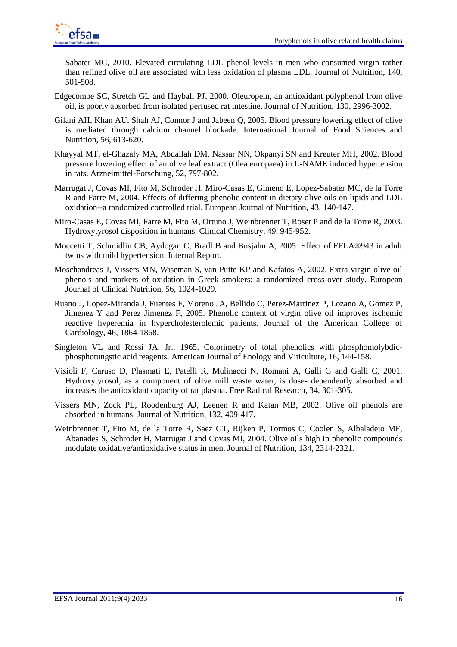Sabater MC, 2010. Elevated circulating LDL phenol levels in men who consumed virgin rather than refined olive oil are associated with less oxidation of plasma LDL. Journal of Nutrition, 140, 501-508.

- Edgecombe SC, Stretch GL and Hayball PJ, 2000. Oleuropein, an antioxidant polyphenol from olive oil, is poorly absorbed from isolated perfused rat intestine. Journal of Nutrition, 130, 2996-3002.
- Gilani AH, Khan AU, Shah AJ, Connor J and Jabeen Q, 2005. Blood pressure lowering effect of olive is mediated through calcium channel blockade. International Journal of Food Sciences and Nutrition, 56, 613-620.
- Khayyal MT, el-Ghazaly MA, Abdallah DM, Nassar NN, Okpanyi SN and Kreuter MH, 2002. Blood pressure lowering effect of an olive leaf extract (Olea europaea) in L-NAME induced hypertension in rats. Arzneimittel-Forschung, 52, 797-802.
- Marrugat J, Covas MI, Fito M, Schroder H, Miro-Casas E, Gimeno E, Lopez-Sabater MC, de la Torre R and Farre M, 2004. Effects of differing phenolic content in dietary olive oils on lipids and LDL oxidation--a randomized controlled trial. European Journal of Nutrition, 43, 140-147.
- Miro-Casas E, Covas MI, Farre M, Fito M, Ortuno J, Weinbrenner T, Roset P and de la Torre R, 2003. Hydroxytyrosol disposition in humans. Clinical Chemistry, 49, 945-952.
- Moccetti T, Schmidlin CB, Aydogan C, Bradl B and Busjahn A, 2005. Effect of EFLA®943 in adult twins with mild hypertension. Internal Report.
- Moschandreas J, Vissers MN, Wiseman S, van Putte KP and Kafatos A, 2002. Extra virgin olive oil phenols and markers of oxidation in Greek smokers: a randomized cross-over study. European Journal of Clinical Nutrition, 56, 1024-1029.
- Ruano J, Lopez-Miranda J, Fuentes F, Moreno JA, Bellido C, Perez-Martinez P, Lozano A, Gomez P, Jimenez Y and Perez Jimenez F, 2005. Phenolic content of virgin olive oil improves ischemic reactive hyperemia in hypercholesterolemic patients. Journal of the American College of Cardiology, 46, 1864-1868.
- Singleton VL and Rossi JA, Jr., 1965. Colorimetry of total phenolics with phosphomolybdicphosphotungstic acid reagents. American Journal of Enology and Viticulture, 16, 144-158.
- Visioli F, Caruso D, Plasmati E, Patelli R, Mulinacci N, Romani A, Galli G and Galli C, 2001. Hydroxytyrosol, as a component of olive mill waste water, is dose- dependently absorbed and increases the antioxidant capacity of rat plasma. Free Radical Research, 34, 301-305.
- Vissers MN, Zock PL, Roodenburg AJ, Leenen R and Katan MB, 2002. Olive oil phenols are absorbed in humans. Journal of Nutrition, 132, 409-417.
- Weinbrenner T, Fito M, de la Torre R, Saez GT, Rijken P, Tormos C, Coolen S, Albaladejo MF, Abanades S, Schroder H, Marrugat J and Covas MI, 2004. Olive oils high in phenolic compounds modulate oxidative/antioxidative status in men. Journal of Nutrition, 134, 2314-2321.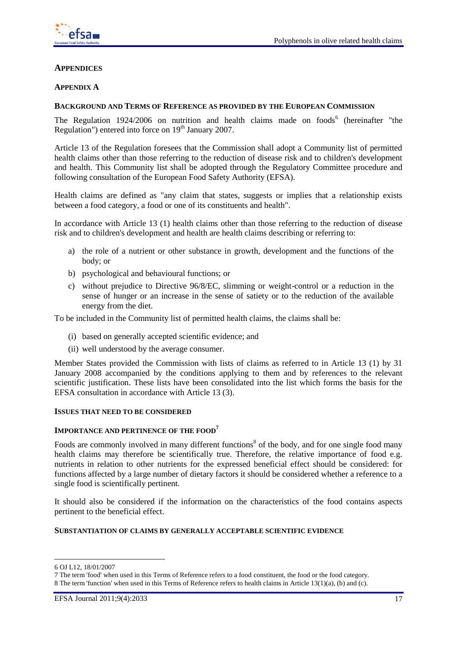

### <span id="page-16-0"></span>**APPENDICES**

### **APPENDIX A**

#### **BACKGROUND AND TERMS OF REFERENCE AS PROVIDED BY THE EUROPEAN COMMISSION**

The Regulation 1924/2006 on nutrition and health claims made on foods<sup>6</sup> (hereinafter "the Regulation") entered into force on  $19<sup>th</sup>$  January 2007.

Article 13 of the Regulation foresees that the Commission shall adopt a Community list of permitted health claims other than those referring to the reduction of disease risk and to children's development and health. This Community list shall be adopted through the Regulatory Committee procedure and following consultation of the European Food Safety Authority (EFSA).

Health claims are defined as "any claim that states, suggests or implies that a relationship exists between a food category, a food or one of its constituents and health".

In accordance with Article 13 (1) health claims other than those referring to the reduction of disease risk and to children's development and health are health claims describing or referring to:

- a) the role of a nutrient or other substance in growth, development and the functions of the body; or
- b) psychological and behavioural functions; or
- c) without prejudice to Directive 96/8/EC, slimming or weight-control or a reduction in the sense of hunger or an increase in the sense of satiety or to the reduction of the available energy from the diet.

To be included in the Community list of permitted health claims, the claims shall be:

- (i) based on generally accepted scientific evidence; and
- (ii) well understood by the average consumer.

Member States provided the Commission with lists of claims as referred to in Article 13 (1) by 31 January 2008 accompanied by the conditions applying to them and by references to the relevant scientific justification. These lists have been consolidated into the list which forms the basis for the EFSA consultation in accordance with Article 13 (3).

#### **ISSUES THAT NEED TO BE CONSIDERED**

#### **IMPORTANCE AND PERTINENCE OF THE FOOD<sup>7</sup>**

Foods are commonly involved in many different functions<sup>8</sup> of the body, and for one single food many health claims may therefore be scientifically true. Therefore, the relative importance of food e.g. nutrients in relation to other nutrients for the expressed beneficial effect should be considered: for functions affected by a large number of dietary factors it should be considered whether a reference to a single food is scientifically pertinent.

It should also be considered if the information on the characteristics of the food contains aspects pertinent to the beneficial effect.

#### **SUBSTANTIATION OF CLAIMS BY GENERALLY ACCEPTABLE SCIENTIFIC EVIDENCE**

 $\overline{a}$ 

<sup>6</sup> OJ L12, 18/01/2007

<sup>7</sup> The term 'food' when used in this Terms of Reference refers to a food constituent, the food or the food category. 8 The term 'function' when used in this Terms of Reference refers to health claims in Article 13(1)(a), (b) and (c).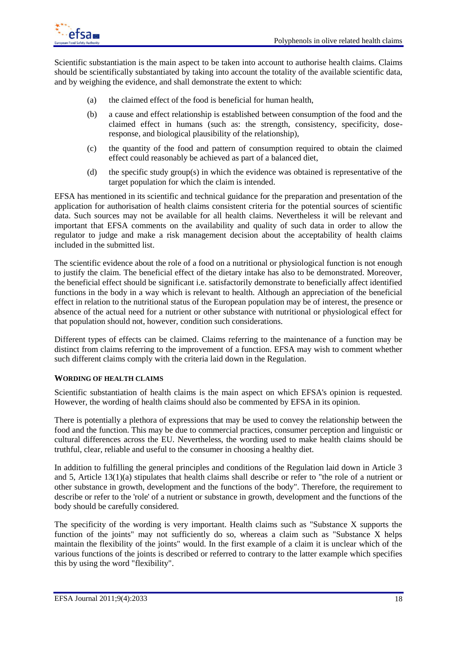

Scientific substantiation is the main aspect to be taken into account to authorise health claims. Claims should be scientifically substantiated by taking into account the totality of the available scientific data, and by weighing the evidence, and shall demonstrate the extent to which:

- (a) the claimed effect of the food is beneficial for human health,
- (b) a cause and effect relationship is established between consumption of the food and the claimed effect in humans (such as: the strength, consistency, specificity, doseresponse, and biological plausibility of the relationship),
- (c) the quantity of the food and pattern of consumption required to obtain the claimed effect could reasonably be achieved as part of a balanced diet,
- (d) the specific study group(s) in which the evidence was obtained is representative of the target population for which the claim is intended.

EFSA has mentioned in its scientific and technical guidance for the preparation and presentation of the application for authorisation of health claims consistent criteria for the potential sources of scientific data. Such sources may not be available for all health claims. Nevertheless it will be relevant and important that EFSA comments on the availability and quality of such data in order to allow the regulator to judge and make a risk management decision about the acceptability of health claims included in the submitted list.

The scientific evidence about the role of a food on a nutritional or physiological function is not enough to justify the claim. The beneficial effect of the dietary intake has also to be demonstrated. Moreover, the beneficial effect should be significant i.e. satisfactorily demonstrate to beneficially affect identified functions in the body in a way which is relevant to health. Although an appreciation of the beneficial effect in relation to the nutritional status of the European population may be of interest, the presence or absence of the actual need for a nutrient or other substance with nutritional or physiological effect for that population should not, however, condition such considerations.

Different types of effects can be claimed. Claims referring to the maintenance of a function may be distinct from claims referring to the improvement of a function. EFSA may wish to comment whether such different claims comply with the criteria laid down in the Regulation.

#### **WORDING OF HEALTH CLAIMS**

Scientific substantiation of health claims is the main aspect on which EFSA's opinion is requested. However, the wording of health claims should also be commented by EFSA in its opinion.

There is potentially a plethora of expressions that may be used to convey the relationship between the food and the function. This may be due to commercial practices, consumer perception and linguistic or cultural differences across the EU. Nevertheless, the wording used to make health claims should be truthful, clear, reliable and useful to the consumer in choosing a healthy diet.

In addition to fulfilling the general principles and conditions of the Regulation laid down in Article 3 and 5, Article 13(1)(a) stipulates that health claims shall describe or refer to "the role of a nutrient or other substance in growth, development and the functions of the body". Therefore, the requirement to describe or refer to the 'role' of a nutrient or substance in growth, development and the functions of the body should be carefully considered.

The specificity of the wording is very important. Health claims such as "Substance X supports the function of the joints" may not sufficiently do so, whereas a claim such as "Substance X helps maintain the flexibility of the joints" would. In the first example of a claim it is unclear which of the various functions of the joints is described or referred to contrary to the latter example which specifies this by using the word "flexibility".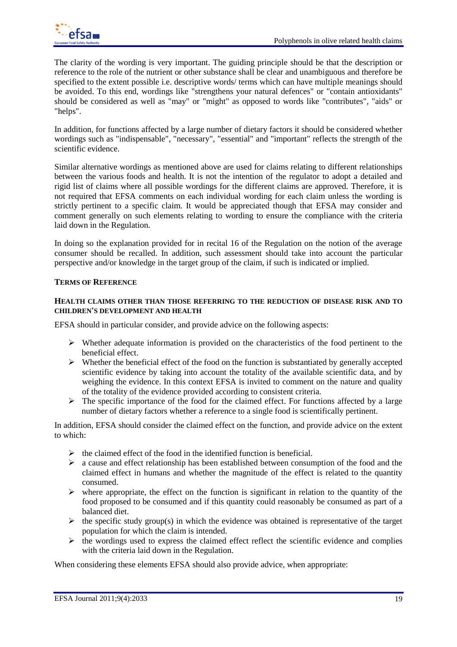The clarity of the wording is very important. The guiding principle should be that the description or reference to the role of the nutrient or other substance shall be clear and unambiguous and therefore be specified to the extent possible i.e. descriptive words/ terms which can have multiple meanings should be avoided. To this end, wordings like "strengthens your natural defences" or "contain antioxidants" should be considered as well as "may" or "might" as opposed to words like "contributes", "aids" or "helps".

In addition, for functions affected by a large number of dietary factors it should be considered whether wordings such as "indispensable", "necessary", "essential" and "important" reflects the strength of the scientific evidence.

Similar alternative wordings as mentioned above are used for claims relating to different relationships between the various foods and health. It is not the intention of the regulator to adopt a detailed and rigid list of claims where all possible wordings for the different claims are approved. Therefore, it is not required that EFSA comments on each individual wording for each claim unless the wording is strictly pertinent to a specific claim. It would be appreciated though that EFSA may consider and comment generally on such elements relating to wording to ensure the compliance with the criteria laid down in the Regulation.

In doing so the explanation provided for in recital 16 of the Regulation on the notion of the average consumer should be recalled. In addition, such assessment should take into account the particular perspective and/or knowledge in the target group of the claim, if such is indicated or implied.

### **TERMS OF REFERENCE**

#### **HEALTH CLAIMS OTHER THAN THOSE REFERRING TO THE REDUCTION OF DISEASE RISK AND TO CHILDREN'S DEVELOPMENT AND HEALTH**

EFSA should in particular consider, and provide advice on the following aspects:

- $\triangleright$  Whether adequate information is provided on the characteristics of the food pertinent to the beneficial effect.
- $\triangleright$  Whether the beneficial effect of the food on the function is substantiated by generally accepted scientific evidence by taking into account the totality of the available scientific data, and by weighing the evidence. In this context EFSA is invited to comment on the nature and quality of the totality of the evidence provided according to consistent criteria.
- $\triangleright$  The specific importance of the food for the claimed effect. For functions affected by a large number of dietary factors whether a reference to a single food is scientifically pertinent.

In addition, EFSA should consider the claimed effect on the function, and provide advice on the extent to which:

- $\triangleright$  the claimed effect of the food in the identified function is beneficial.
- $\triangleright$  a cause and effect relationship has been established between consumption of the food and the claimed effect in humans and whether the magnitude of the effect is related to the quantity consumed.
- $\triangleright$  where appropriate, the effect on the function is significant in relation to the quantity of the food proposed to be consumed and if this quantity could reasonably be consumed as part of a balanced diet.
- $\triangleright$  the specific study group(s) in which the evidence was obtained is representative of the target population for which the claim is intended.
- $\triangleright$  the wordings used to express the claimed effect reflect the scientific evidence and complies with the criteria laid down in the Regulation.

When considering these elements EFSA should also provide advice, when appropriate: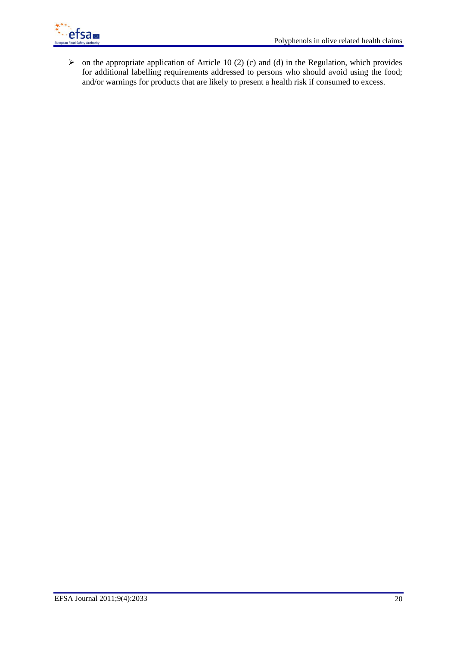

 $\triangleright$  on the appropriate application of Article 10 (2) (c) and (d) in the Regulation, which provides for additional labelling requirements addressed to persons who should avoid using the food; and/or warnings for products that are likely to present a health risk if consumed to excess.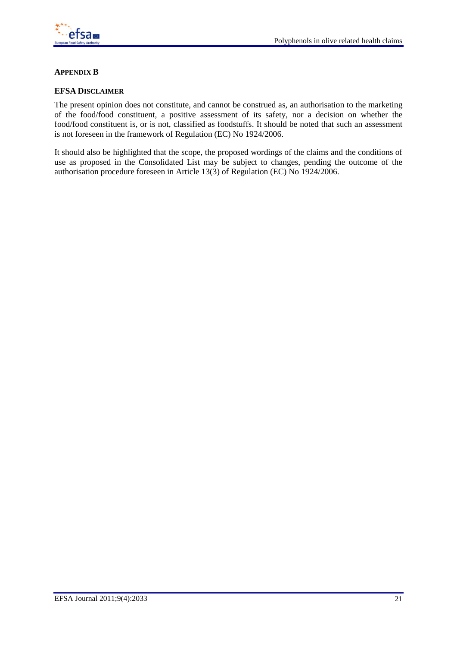

# **APPENDIX B**

### **EFSA DISCLAIMER**

The present opinion does not constitute, and cannot be construed as, an authorisation to the marketing of the food/food constituent, a positive assessment of its safety, nor a decision on whether the food/food constituent is, or is not, classified as foodstuffs. It should be noted that such an assessment is not foreseen in the framework of Regulation (EC) No 1924/2006.

It should also be highlighted that the scope, the proposed wordings of the claims and the conditions of use as proposed in the Consolidated List may be subject to changes, pending the outcome of the authorisation procedure foreseen in Article 13(3) of Regulation (EC) No 1924/2006.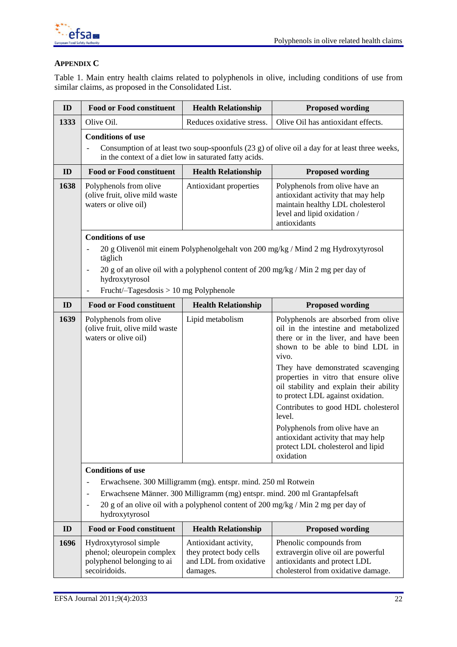

# **APPENDIX C**

Table 1. Main entry health claims related to polyphenols in olive, including conditions of use from similar claims, as proposed in the Consolidated List.

| ID   | <b>Food or Food constituent</b>                                                                                                                                                                                                 | <b>Health Relationship</b>                                                             | <b>Proposed wording</b>                                                                                                                                                                                                                                                                                                                                                                                                                                                                                  |  |  |
|------|---------------------------------------------------------------------------------------------------------------------------------------------------------------------------------------------------------------------------------|----------------------------------------------------------------------------------------|----------------------------------------------------------------------------------------------------------------------------------------------------------------------------------------------------------------------------------------------------------------------------------------------------------------------------------------------------------------------------------------------------------------------------------------------------------------------------------------------------------|--|--|
| 1333 | Olive Oil.                                                                                                                                                                                                                      | Reduces oxidative stress.                                                              | Olive Oil has antioxidant effects.                                                                                                                                                                                                                                                                                                                                                                                                                                                                       |  |  |
|      | <b>Conditions of use</b>                                                                                                                                                                                                        |                                                                                        |                                                                                                                                                                                                                                                                                                                                                                                                                                                                                                          |  |  |
|      | Consumption of at least two soup-spoonfuls $(23 g)$ of olive oil a day for at least three weeks,<br>in the context of a diet low in saturated fatty acids.                                                                      |                                                                                        |                                                                                                                                                                                                                                                                                                                                                                                                                                                                                                          |  |  |
| ID   | <b>Food or Food constituent</b>                                                                                                                                                                                                 | <b>Health Relationship</b>                                                             | <b>Proposed wording</b>                                                                                                                                                                                                                                                                                                                                                                                                                                                                                  |  |  |
| 1638 | Polyphenols from olive<br>(olive fruit, olive mild waste<br>waters or olive oil)                                                                                                                                                | Antioxidant properties                                                                 | Polyphenols from olive have an<br>antioxidant activity that may help<br>maintain healthy LDL cholesterol<br>level and lipid oxidation /<br>antioxidants                                                                                                                                                                                                                                                                                                                                                  |  |  |
|      | <b>Conditions of use</b>                                                                                                                                                                                                        |                                                                                        |                                                                                                                                                                                                                                                                                                                                                                                                                                                                                                          |  |  |
|      | 20 g Olivenöl mit einem Polyphenolgehalt von 200 mg/kg / Mind 2 mg Hydroxytyrosol<br>täglich<br>20 g of an olive oil with a polyphenol content of 200 mg/kg / Min 2 mg per day of<br>$\overline{\phantom{0}}$<br>hydroxytyrosol |                                                                                        |                                                                                                                                                                                                                                                                                                                                                                                                                                                                                                          |  |  |
|      |                                                                                                                                                                                                                                 |                                                                                        |                                                                                                                                                                                                                                                                                                                                                                                                                                                                                                          |  |  |
|      | Frucht/-Tagesdosis > 10 mg Polyphenole                                                                                                                                                                                          |                                                                                        |                                                                                                                                                                                                                                                                                                                                                                                                                                                                                                          |  |  |
| ID   | <b>Food or Food constituent</b>                                                                                                                                                                                                 | <b>Health Relationship</b>                                                             | <b>Proposed wording</b>                                                                                                                                                                                                                                                                                                                                                                                                                                                                                  |  |  |
| 1639 | Polyphenols from olive<br>(olive fruit, olive mild waste<br>waters or olive oil)                                                                                                                                                | Lipid metabolism                                                                       | Polyphenols are absorbed from olive<br>oil in the intestine and metabolized<br>there or in the liver, and have been<br>shown to be able to bind LDL in<br>vivo.<br>They have demonstrated scavenging<br>properties in vitro that ensure olive<br>oil stability and explain their ability<br>to protect LDL against oxidation.<br>Contributes to good HDL cholesterol<br>level.<br>Polyphenols from olive have an<br>antioxidant activity that may help<br>protect LDL cholesterol and lipid<br>oxidation |  |  |
|      | <b>Conditions of use</b>                                                                                                                                                                                                        |                                                                                        |                                                                                                                                                                                                                                                                                                                                                                                                                                                                                                          |  |  |
|      | $\overline{a}$<br>$\overline{\phantom{0}}$                                                                                                                                                                                      | Erwachsene. 300 Milligramm (mg). entspr. mind. 250 ml Rotwein                          |                                                                                                                                                                                                                                                                                                                                                                                                                                                                                                          |  |  |
|      | Erwachsene Männer. 300 Milligramm (mg) entspr. mind. 200 ml Grantapfelsaft<br>20 g of an olive oil with a polyphenol content of 200 mg/kg / Min 2 mg per day of<br>$\overline{a}$<br>hydroxytyrosol                             |                                                                                        |                                                                                                                                                                                                                                                                                                                                                                                                                                                                                                          |  |  |
| ID   | <b>Food or Food constituent</b>                                                                                                                                                                                                 | <b>Health Relationship</b>                                                             | <b>Proposed wording</b>                                                                                                                                                                                                                                                                                                                                                                                                                                                                                  |  |  |
| 1696 | Hydroxytyrosol simple<br>phenol; oleuropein complex<br>polyphenol belonging to ai<br>secoiridoids.                                                                                                                              | Antioxidant activity,<br>they protect body cells<br>and LDL from oxidative<br>damages. | Phenolic compounds from<br>extravergin olive oil are powerful<br>antioxidants and protect LDL<br>cholesterol from oxidative damage.                                                                                                                                                                                                                                                                                                                                                                      |  |  |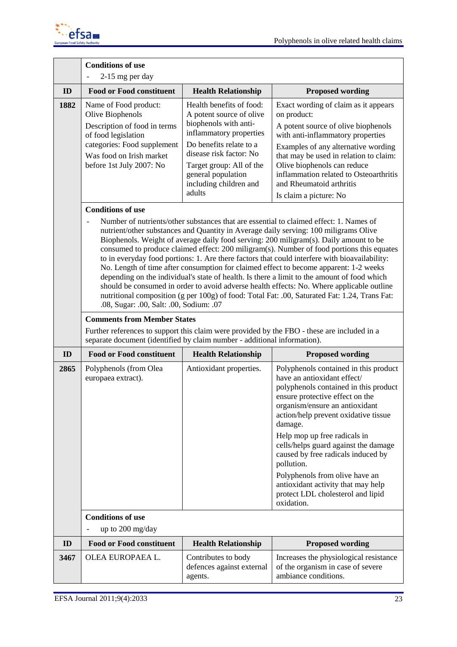

|      | <b>Conditions of use</b>                                                                                                                                                                                                                                                                                                                                                                                                                                                                                                                                                                                                                                                                                                                                                                                                                                                                                                                                                 |                                                                                                                                                                                                                                                      |                                                                                                                                                                                                                                                                                                                                                                                                                                                                                              |  |
|------|--------------------------------------------------------------------------------------------------------------------------------------------------------------------------------------------------------------------------------------------------------------------------------------------------------------------------------------------------------------------------------------------------------------------------------------------------------------------------------------------------------------------------------------------------------------------------------------------------------------------------------------------------------------------------------------------------------------------------------------------------------------------------------------------------------------------------------------------------------------------------------------------------------------------------------------------------------------------------|------------------------------------------------------------------------------------------------------------------------------------------------------------------------------------------------------------------------------------------------------|----------------------------------------------------------------------------------------------------------------------------------------------------------------------------------------------------------------------------------------------------------------------------------------------------------------------------------------------------------------------------------------------------------------------------------------------------------------------------------------------|--|
|      | 2-15 mg per day                                                                                                                                                                                                                                                                                                                                                                                                                                                                                                                                                                                                                                                                                                                                                                                                                                                                                                                                                          |                                                                                                                                                                                                                                                      |                                                                                                                                                                                                                                                                                                                                                                                                                                                                                              |  |
| ID   | <b>Food or Food constituent</b>                                                                                                                                                                                                                                                                                                                                                                                                                                                                                                                                                                                                                                                                                                                                                                                                                                                                                                                                          | <b>Health Relationship</b>                                                                                                                                                                                                                           | <b>Proposed wording</b>                                                                                                                                                                                                                                                                                                                                                                                                                                                                      |  |
| 1882 | Name of Food product:<br><b>Olive Biophenols</b><br>Description of food in terms<br>of food legislation<br>categories: Food supplement<br>Was food on Irish market<br>before 1st July 2007: No                                                                                                                                                                                                                                                                                                                                                                                                                                                                                                                                                                                                                                                                                                                                                                           | Health benefits of food:<br>A potent source of olive<br>biophenols with anti-<br>inflammatory properties<br>Do benefits relate to a<br>disease risk factor: No<br>Target group: All of the<br>general population<br>including children and<br>adults | Exact wording of claim as it appears<br>on product:<br>A potent source of olive biophenols<br>with anti-inflammatory properties<br>Examples of any alternative wording<br>that may be used in relation to claim:<br>Olive biophenols can reduce<br>inflammation related to Osteoarthritis<br>and Rheumatoid arthritis<br>Is claim a picture: No                                                                                                                                              |  |
|      | <b>Conditions of use</b><br>Number of nutrients/other substances that are essential to claimed effect: 1. Names of<br>nutrient/other substances and Quantity in Average daily serving: 100 miligrams Olive<br>Biophenols. Weight of average daily food serving: 200 miligram(s). Daily amount to be<br>consumed to produce claimed effect: 200 miligram(s). Number of food portions this equates<br>to in everyday food portions: 1. Are there factors that could interfere with bioavailability:<br>No. Length of time after consumption for claimed effect to become apparent: 1-2 weeks<br>depending on the individual's state of health. Is there a limit to the amount of food which<br>should be consumed in order to avoid adverse health effects: No. Where applicable outline<br>nutritional composition (g per 100g) of food: Total Fat: .00, Saturated Fat: 1.24, Trans Fat:<br>.08, Sugar: .00, Salt: .00, Sodium: .07<br><b>Comments from Member States</b> |                                                                                                                                                                                                                                                      |                                                                                                                                                                                                                                                                                                                                                                                                                                                                                              |  |
|      | Further references to support this claim were provided by the FBO - these are included in a<br>separate document (identified by claim number - additional information).                                                                                                                                                                                                                                                                                                                                                                                                                                                                                                                                                                                                                                                                                                                                                                                                  |                                                                                                                                                                                                                                                      |                                                                                                                                                                                                                                                                                                                                                                                                                                                                                              |  |
| ID   | <b>Food or Food constituent</b>                                                                                                                                                                                                                                                                                                                                                                                                                                                                                                                                                                                                                                                                                                                                                                                                                                                                                                                                          | <b>Health Relationship</b>                                                                                                                                                                                                                           | <b>Proposed wording</b>                                                                                                                                                                                                                                                                                                                                                                                                                                                                      |  |
| 2865 | Polyphenols (from Olea<br>europaea extract).                                                                                                                                                                                                                                                                                                                                                                                                                                                                                                                                                                                                                                                                                                                                                                                                                                                                                                                             | Antioxidant properties.                                                                                                                                                                                                                              | Polyphenols contained in this product<br>have an antioxidant effect/<br>polyphenols contained in this product<br>ensure protective effect on the<br>organism/ensure an antioxidant<br>action/help prevent oxidative tissue<br>damage.<br>Help mop up free radicals in<br>cells/helps guard against the damage<br>caused by free radicals induced by<br>pollution.<br>Polyphenols from olive have an<br>antioxidant activity that may help<br>protect LDL cholesterol and lipid<br>oxidation. |  |
|      | <b>Conditions of use</b><br>up to 200 mg/day                                                                                                                                                                                                                                                                                                                                                                                                                                                                                                                                                                                                                                                                                                                                                                                                                                                                                                                             |                                                                                                                                                                                                                                                      |                                                                                                                                                                                                                                                                                                                                                                                                                                                                                              |  |
| ID   | <b>Food or Food constituent</b>                                                                                                                                                                                                                                                                                                                                                                                                                                                                                                                                                                                                                                                                                                                                                                                                                                                                                                                                          | <b>Health Relationship</b>                                                                                                                                                                                                                           | <b>Proposed wording</b>                                                                                                                                                                                                                                                                                                                                                                                                                                                                      |  |
| 3467 | OLEA EUROPAEA L.                                                                                                                                                                                                                                                                                                                                                                                                                                                                                                                                                                                                                                                                                                                                                                                                                                                                                                                                                         | Contributes to body<br>defences against external<br>agents.                                                                                                                                                                                          | Increases the physiological resistance<br>of the organism in case of severe<br>ambiance conditions.                                                                                                                                                                                                                                                                                                                                                                                          |  |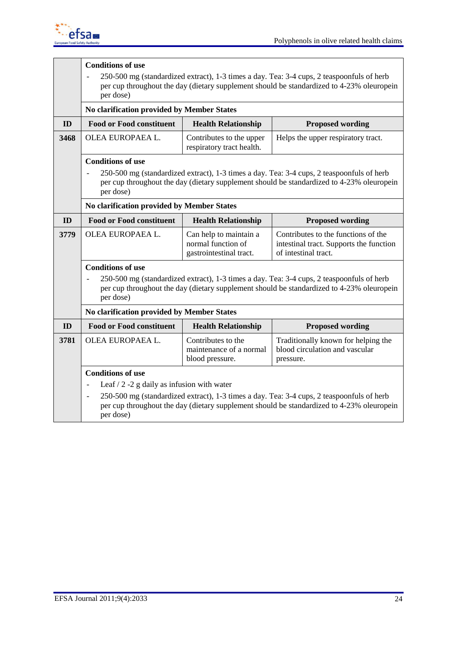

|      | <b>Conditions of use</b>                                                                                                                                                                            |                                                                         |                                                                                                                                                                                        |  |  |
|------|-----------------------------------------------------------------------------------------------------------------------------------------------------------------------------------------------------|-------------------------------------------------------------------------|----------------------------------------------------------------------------------------------------------------------------------------------------------------------------------------|--|--|
|      | 250-500 mg (standardized extract), 1-3 times a day. Tea: 3-4 cups, 2 teaspoonfuls of herb<br>per cup throughout the day (dietary supplement should be standardized to 4-23% oleuropein<br>per dose) |                                                                         |                                                                                                                                                                                        |  |  |
|      | No clarification provided by Member States                                                                                                                                                          |                                                                         |                                                                                                                                                                                        |  |  |
| ID   | <b>Food or Food constituent</b>                                                                                                                                                                     | <b>Health Relationship</b>                                              | <b>Proposed wording</b>                                                                                                                                                                |  |  |
| 3468 | <b>OLEA EUROPAEA L.</b>                                                                                                                                                                             | Contributes to the upper<br>respiratory tract health.                   | Helps the upper respiratory tract.                                                                                                                                                     |  |  |
|      | <b>Conditions of use</b>                                                                                                                                                                            |                                                                         |                                                                                                                                                                                        |  |  |
|      | 250-500 mg (standardized extract), 1-3 times a day. Tea: 3-4 cups, 2 teaspoonfuls of herb<br>per cup throughout the day (dietary supplement should be standardized to 4-23% oleuropein<br>per dose) |                                                                         |                                                                                                                                                                                        |  |  |
|      | No clarification provided by Member States                                                                                                                                                          |                                                                         |                                                                                                                                                                                        |  |  |
| ID   | <b>Food or Food constituent</b>                                                                                                                                                                     | <b>Health Relationship</b>                                              | <b>Proposed wording</b>                                                                                                                                                                |  |  |
| 3779 | OLEA EUROPAEA L.                                                                                                                                                                                    | Can help to maintain a<br>normal function of<br>gastrointestinal tract. | Contributes to the functions of the<br>intestinal tract. Supports the function<br>of intestinal tract.                                                                                 |  |  |
|      | <b>Conditions of use</b>                                                                                                                                                                            |                                                                         |                                                                                                                                                                                        |  |  |
|      | 250-500 mg (standardized extract), 1-3 times a day. Tea: 3-4 cups, 2 teaspoonfuls of herb<br>per cup throughout the day (dietary supplement should be standardized to 4-23% oleuropein<br>per dose) |                                                                         |                                                                                                                                                                                        |  |  |
|      | No clarification provided by Member States                                                                                                                                                          |                                                                         |                                                                                                                                                                                        |  |  |
| ID   | <b>Food or Food constituent</b>                                                                                                                                                                     | <b>Health Relationship</b>                                              | <b>Proposed wording</b>                                                                                                                                                                |  |  |
| 3781 | OLEA EUROPAEA L.                                                                                                                                                                                    | Contributes to the<br>maintenance of a normal<br>blood pressure.        | Traditionally known for helping the<br>blood circulation and vascular<br>pressure.                                                                                                     |  |  |
|      | <b>Conditions of use</b>                                                                                                                                                                            |                                                                         |                                                                                                                                                                                        |  |  |
|      | Leaf $/2 - 2$ g daily as infusion with water<br>$\overline{\phantom{0}}$                                                                                                                            |                                                                         |                                                                                                                                                                                        |  |  |
|      | $\overline{\phantom{0}}$<br>per dose)                                                                                                                                                               |                                                                         | 250-500 mg (standardized extract), 1-3 times a day. Tea: 3-4 cups, 2 teaspoonfuls of herb<br>per cup throughout the day (dietary supplement should be standardized to 4-23% oleuropein |  |  |